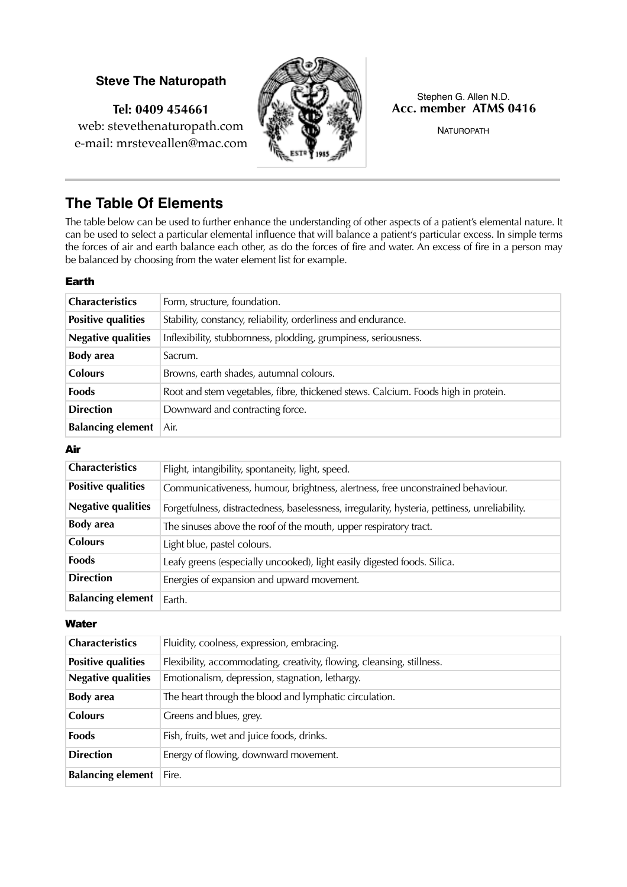## **Steve The Naturopath**

**Tel: 0409 454661** web: stevethenaturopath.com e-mail: mrsteveallen@mac.com



#### Stephen G. Allen N.D. **Acc. member ATMS 0416**

NATUROPATH

# **The Table Of Elements**

The table below can be used to further enhance the understanding of other aspects of a patient's elemental nature. It can be used to select a particular elemental influence that will balance a patient's particular excess. In simple terms the forces of air and earth balance each other, as do the forces of fire and water. An excess of fire in a person may be balanced by choosing from the water element list for example.

#### Earth

| <b>Characteristics</b>    | Form, structure, foundation.                                                      |  |
|---------------------------|-----------------------------------------------------------------------------------|--|
| <b>Positive qualities</b> | Stability, constancy, reliability, orderliness and endurance.                     |  |
| <b>Negative qualities</b> | Inflexibility, stubbornness, plodding, grumpiness, seriousness.                   |  |
| <b>Body</b> area          | Sacrum.                                                                           |  |
| <b>Colours</b>            | Browns, earth shades, autumnal colours.                                           |  |
| <b>Foods</b>              | Root and stem vegetables, fibre, thickened stews. Calcium. Foods high in protein. |  |
| <b>Direction</b>          | Downward and contracting force.                                                   |  |
| <b>Balancing element</b>  | Air.                                                                              |  |

## Air

| <b>Characteristics</b>    | Flight, intangibility, spontaneity, light, speed.                                              |
|---------------------------|------------------------------------------------------------------------------------------------|
| <b>Positive qualities</b> | Communicativeness, humour, brightness, alertness, free unconstrained behaviour.                |
| <b>Negative qualities</b> | Forgetfulness, distractedness, baselessness, irregularity, hysteria, pettiness, unreliability. |
| <b>Body</b> area          | The sinuses above the roof of the mouth, upper respiratory tract.                              |
| <b>Colours</b>            | Light blue, pastel colours.                                                                    |
| <b>Foods</b>              | Leafy greens (especially uncooked), light easily digested foods. Silica.                       |
| <b>Direction</b>          | Energies of expansion and upward movement.                                                     |
| <b>Balancing element</b>  | Earth.                                                                                         |

#### **Water**

| Characteristics           | Fluidity, coolness, expression, embracing.                             |
|---------------------------|------------------------------------------------------------------------|
| <b>Positive qualities</b> | Flexibility, accommodating, creativity, flowing, cleansing, stillness. |
| <b>Negative qualities</b> | Emotionalism, depression, stagnation, lethargy.                        |
| <b>Body</b> area          | The heart through the blood and lymphatic circulation.                 |
| <b>Colours</b>            | Greens and blues, grey.                                                |
| <b>Foods</b>              | Fish, fruits, wet and juice foods, drinks.                             |
| <b>Direction</b>          | Energy of flowing, downward movement.                                  |
| <b>Balancing element</b>  | Fire.                                                                  |